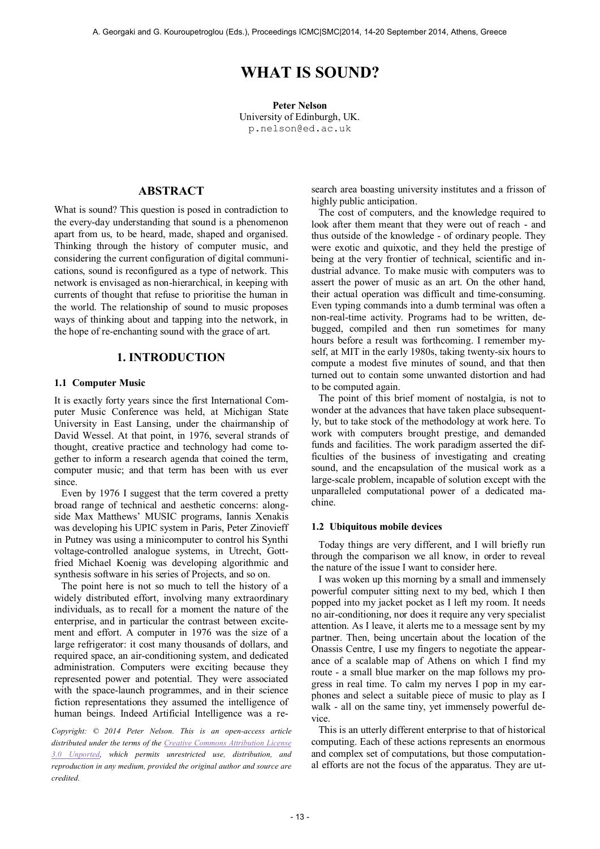# **WHAT IS SOUND?**

**Peter Nelson** University of Edinburgh, UK. [p.nelson@ed.ac.uk](mailto:author1@smcnetwork.org?subject=SMC%202010%20paper)

# **ABSTRACT**

What is sound? This question is posed in contradiction to the every-day understanding that sound is a phenomenon apart from us, to be heard, made, shaped and organised. Thinking through the history of computer music, and considering the current configuration of digital communications, sound is reconfigured as a type of network. This network is envisaged as non-hierarchical, in keeping with currents of thought that refuse to prioritise the human in the world. The relationship of sound to music proposes ways of thinking about and tapping into the network, in the hope of re-enchanting sound with the grace of art.

# **1. INTRODUCTION**

#### **1.1 Computer Music**

It is exactly forty years since the first International Computer Music Conference was held, at Michigan State University in East Lansing, under the chairmanship of David Wessel. At that point, in 1976, several strands of thought, creative practice and technology had come together to inform a research agenda that coined the term, computer music; and that term has been with us ever since.

Even by 1976 I suggest that the term covered a pretty broad range of technical and aesthetic concerns: alongside Max Matthews' MUSIC programs, Iannis Xenakis was developing his UPIC system in Paris, Peter Zinovieff in Putney was using a minicomputer to control his Synthi voltage-controlled analogue systems, in Utrecht, Gottfried Michael Koenig was developing algorithmic and synthesis software in his series of Projects, and so on.

The point here is not so much to tell the history of a widely distributed effort, involving many extraordinary individuals, as to recall for a moment the nature of the enterprise, and in particular the contrast between excitement and effort. A computer in 1976 was the size of a large refrigerator: it cost many thousands of dollars, and required space, an air-conditioning system, and dedicated administration. Computers were exciting because they represented power and potential. They were associated with the space-launch programmes, and in their science fiction representations they assumed the intelligence of human beings. Indeed Artificial Intelligence was a re-

*Copyright: © 2014 Peter Nelson. This is an open-access article distributed under the terms of the [Creative Commons Attribution License](http://creativecommons.org/licenses/by/3.0/)  [3.0 Unported,](http://creativecommons.org/licenses/by/3.0/) which permits unrestricted use, distribution, and reproduction in any medium, provided the original author and source are credited.*

search area boasting university institutes and a frisson of highly public anticipation.

The cost of computers, and the knowledge required to look after them meant that they were out of reach - and thus outside of the knowledge - of ordinary people. They were exotic and quixotic, and they held the prestige of being at the very frontier of technical, scientific and industrial advance. To make music with computers was to assert the power of music as an art. On the other hand, their actual operation was difficult and time-consuming. Even typing commands into a dumb terminal was often a non-real-time activity. Programs had to be written, debugged, compiled and then run sometimes for many hours before a result was forthcoming. I remember myself, at MIT in the early 1980s, taking twenty-six hours to compute a modest five minutes of sound, and that then turned out to contain some unwanted distortion and had to be computed again.

The point of this brief moment of nostalgia, is not to wonder at the advances that have taken place subsequently, but to take stock of the methodology at work here. To work with computers brought prestige, and demanded funds and facilities. The work paradigm asserted the difficulties of the business of investigating and creating sound, and the encapsulation of the musical work as a large-scale problem, incapable of solution except with the unparalleled computational power of a dedicated machine.

#### **1.2 Ubiquitous mobile devices**

Today things are very different, and I will briefly run through the comparison we all know, in order to reveal the nature of the issue I want to consider here.

I was woken up this morning by a small and immensely powerful computer sitting next to my bed, which I then popped into my jacket pocket as I left my room. It needs no air-conditioning, nor does it require any very specialist attention. As I leave, it alerts me to a message sent by my partner. Then, being uncertain about the location of the Onassis Centre, I use my fingers to negotiate the appearance of a scalable map of Athens on which I find my route - a small blue marker on the map follows my progress in real time. To calm my nerves I pop in my earphones and select a suitable piece of music to play as I walk - all on the same tiny, yet immensely powerful device.

This is an utterly different enterprise to that of historical computing. Each of these actions represents an enormous and complex set of computations, but those computational efforts are not the focus of the apparatus. They are ut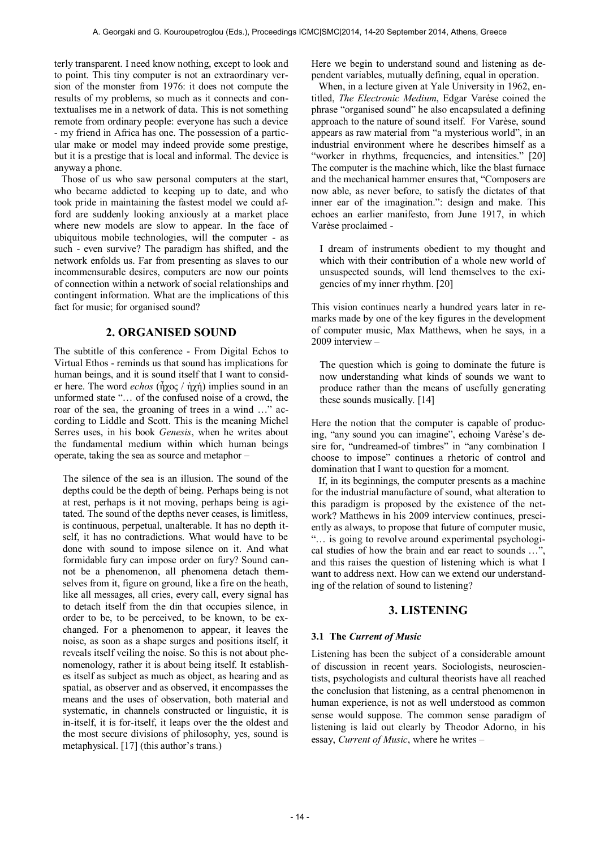terly transparent. I need know nothing, except to look and to point. This tiny computer is not an extraordinary version of the monster from 1976: it does not compute the results of my problems, so much as it connects and contextualises me in a network of data. This is not something remote from ordinary people: everyone has such a device - my friend in Africa has one. The possession of a particular make or model may indeed provide some prestige, but it is a prestige that is local and informal. The device is anyway a phone.

Those of us who saw personal computers at the start, who became addicted to keeping up to date, and who took pride in maintaining the fastest model we could afford are suddenly looking anxiously at a market place where new models are slow to appear. In the face of ubiquitous mobile technologies, will the computer - as such - even survive? The paradigm has shifted, and the network enfolds us. Far from presenting as slaves to our incommensurable desires, computers are now our points of connection within a network of social relationships and contingent information. What are the implications of this fact for music; for organised sound?

### **2. ORGANISED SOUND**

The subtitle of this conference - From Digital Echos to Virtual Ethos - reminds us that sound has implications for human beings, and it is sound itself that I want to consider here. The word *echos* (ἦχος / ἠχή) implies sound in an unformed state "… of the confused noise of a crowd, the roar of the sea, the groaning of trees in a wind …" according to Liddle and Scott. This is the meaning Michel Serres uses, in his book *Genesis*, when he writes about the fundamental medium within which human beings operate, taking the sea as source and metaphor –

The silence of the sea is an illusion. The sound of the depths could be the depth of being. Perhaps being is not at rest, perhaps is it not moving, perhaps being is agitated. The sound of the depths never ceases, is limitless, is continuous, perpetual, unalterable. It has no depth itself, it has no contradictions. What would have to be done with sound to impose silence on it. And what formidable fury can impose order on fury? Sound cannot be a phenomenon, all phenomena detach themselves from it, figure on ground, like a fire on the heath, like all messages, all cries, every call, every signal has to detach itself from the din that occupies silence, in order to be, to be perceived, to be known, to be exchanged. For a phenomenon to appear, it leaves the noise, as soon as a shape surges and positions itself, it reveals itself veiling the noise. So this is not about phenomenology, rather it is about being itself. It establishes itself as subject as much as object, as hearing and as spatial, as observer and as observed, it encompasses the means and the uses of observation, both material and systematic, in channels constructed or linguistic, it is in-itself, it is for-itself, it leaps over the the oldest and the most secure divisions of philosophy, yes, sound is metaphysical. [17] (this author's trans.)

Here we begin to understand sound and listening as dependent variables, mutually defining, equal in operation.

When, in a lecture given at Yale University in 1962, entitled, *The Electronic Medium*, Edgar Varése coined the phrase "organised sound" he also encapsulated a defining approach to the nature of sound itself. For Varèse, sound appears as raw material from "a mysterious world", in an industrial environment where he describes himself as a "worker in rhythms, frequencies, and intensities." [20] The computer is the machine which, like the blast furnace and the mechanical hammer ensures that, "Composers are now able, as never before, to satisfy the dictates of that inner ear of the imagination.": design and make. This echoes an earlier manifesto, from June 1917, in which Varèse proclaimed -

I dream of instruments obedient to my thought and which with their contribution of a whole new world of unsuspected sounds, will lend themselves to the exigencies of my inner rhythm. [20]

This vision continues nearly a hundred years later in remarks made by one of the key figures in the development of computer music, Max Matthews, when he says, in a 2009 interview –

The question which is going to dominate the future is now understanding what kinds of sounds we want to produce rather than the means of usefully generating these sounds musically. [14]

Here the notion that the computer is capable of producing, "any sound you can imagine", echoing Varèse's desire for, "undreamed-of timbres" in "any combination I choose to impose" continues a rhetoric of control and domination that I want to question for a moment.

If, in its beginnings, the computer presents as a machine for the industrial manufacture of sound, what alteration to this paradigm is proposed by the existence of the network? Matthews in his 2009 interview continues, presciently as always, to propose that future of computer music, "… is going to revolve around experimental psychological studies of how the brain and ear react to sounds ...' and this raises the question of listening which is what I want to address next. How can we extend our understanding of the relation of sound to listening?

#### **3. LISTENING**

#### **3.1 The** *Current of Music*

Listening has been the subject of a considerable amount of discussion in recent years. Sociologists, neuroscientists, psychologists and cultural theorists have all reached the conclusion that listening, as a central phenomenon in human experience, is not as well understood as common sense would suppose. The common sense paradigm of listening is laid out clearly by Theodor Adorno, in his essay, *Current of Music*, where he writes –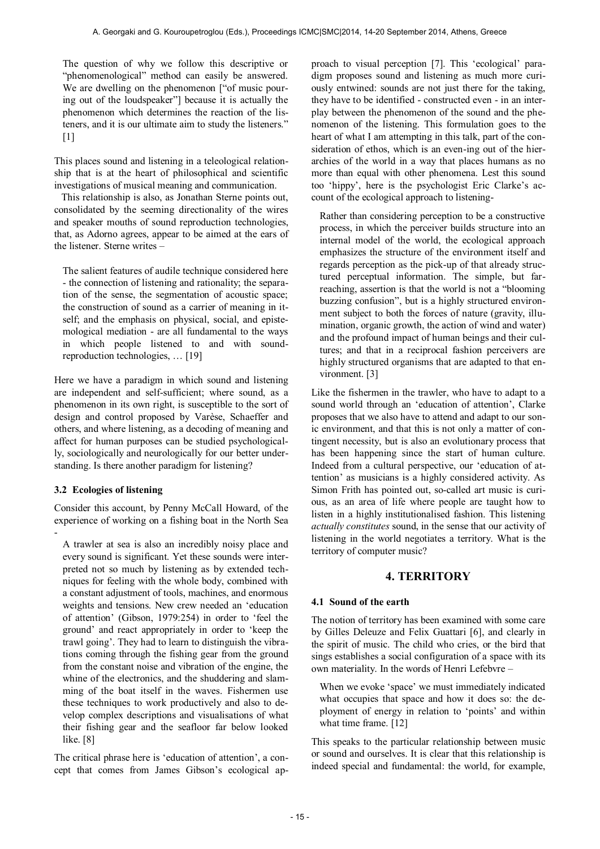The question of why we follow this descriptive or "phenomenological" method can easily be answered. We are dwelling on the phenomenon ["of music pouring out of the loudspeaker"] because it is actually the phenomenon which determines the reaction of the listeners, and it is our ultimate aim to study the listeners."  $[1]$ 

This places sound and listening in a teleological relationship that is at the heart of philosophical and scientific investigations of musical meaning and communication.

This relationship is also, as Jonathan Sterne points out, consolidated by the seeming directionality of the wires and speaker mouths of sound reproduction technologies, that, as Adorno agrees, appear to be aimed at the ears of the listener. Sterne writes –

The salient features of audile technique considered here - the connection of listening and rationality; the separation of the sense, the segmentation of acoustic space; the construction of sound as a carrier of meaning in itself; and the emphasis on physical, social, and epistemological mediation - are all fundamental to the ways in which people listened to and with soundreproduction technologies, … [19]

Here we have a paradigm in which sound and listening are independent and self-sufficient; where sound, as a phenomenon in its own right, is susceptible to the sort of design and control proposed by Varèse, Schaeffer and others, and where listening, as a decoding of meaning and affect for human purposes can be studied psychologically, sociologically and neurologically for our better understanding. Is there another paradigm for listening?

# **3.2 Ecologies of listening**

Consider this account, by Penny McCall Howard, of the experience of working on a fishing boat in the North Sea -

A trawler at sea is also an incredibly noisy place and every sound is significant. Yet these sounds were interpreted not so much by listening as by extended techniques for feeling with the whole body, combined with a constant adjustment of tools, machines, and enormous weights and tensions. New crew needed an 'education of attention' (Gibson, 1979:254) in order to 'feel the ground' and react appropriately in order to 'keep the trawl going'. They had to learn to distinguish the vibrations coming through the fishing gear from the ground from the constant noise and vibration of the engine, the whine of the electronics, and the shuddering and slamming of the boat itself in the waves. Fishermen use these techniques to work productively and also to develop complex descriptions and visualisations of what their fishing gear and the seafloor far below looked like. [8]

The critical phrase here is 'education of attention', a concept that comes from James Gibson's ecological approach to visual perception [7]. This 'ecological' paradigm proposes sound and listening as much more curiously entwined: sounds are not just there for the taking, they have to be identified - constructed even - in an interplay between the phenomenon of the sound and the phenomenon of the listening. This formulation goes to the heart of what I am attempting in this talk, part of the consideration of ethos, which is an even-ing out of the hierarchies of the world in a way that places humans as no more than equal with other phenomena. Lest this sound too 'hippy', here is the psychologist Eric Clarke's account of the ecological approach to listening-

Rather than considering perception to be a constructive process, in which the perceiver builds structure into an internal model of the world, the ecological approach emphasizes the structure of the environment itself and regards perception as the pick-up of that already structured perceptual information. The simple, but farreaching, assertion is that the world is not a "blooming buzzing confusion", but is a highly structured environment subject to both the forces of nature (gravity, illumination, organic growth, the action of wind and water) and the profound impact of human beings and their cultures; and that in a reciprocal fashion perceivers are highly structured organisms that are adapted to that environment. [3]

Like the fishermen in the trawler, who have to adapt to a sound world through an 'education of attention', Clarke proposes that we also have to attend and adapt to our sonic environment, and that this is not only a matter of contingent necessity, but is also an evolutionary process that has been happening since the start of human culture. Indeed from a cultural perspective, our 'education of attention' as musicians is a highly considered activity. As Simon Frith has pointed out, so-called art music is curious, as an area of life where people are taught how to listen in a highly institutionalised fashion. This listening *actually constitutes* sound, in the sense that our activity of listening in the world negotiates a territory. What is the territory of computer music?

# **4. TERRITORY**

#### **4.1 Sound of the earth**

The notion of territory has been examined with some care by Gilles Deleuze and Felix Guattari [6], and clearly in the spirit of music. The child who cries, or the bird that sings establishes a social configuration of a space with its own materiality. In the words of Henri Lefebvre –

When we evoke 'space' we must immediately indicated what occupies that space and how it does so: the deployment of energy in relation to 'points' and within what time frame. [12]

This speaks to the particular relationship between music or sound and ourselves. It is clear that this relationship is indeed special and fundamental: the world, for example,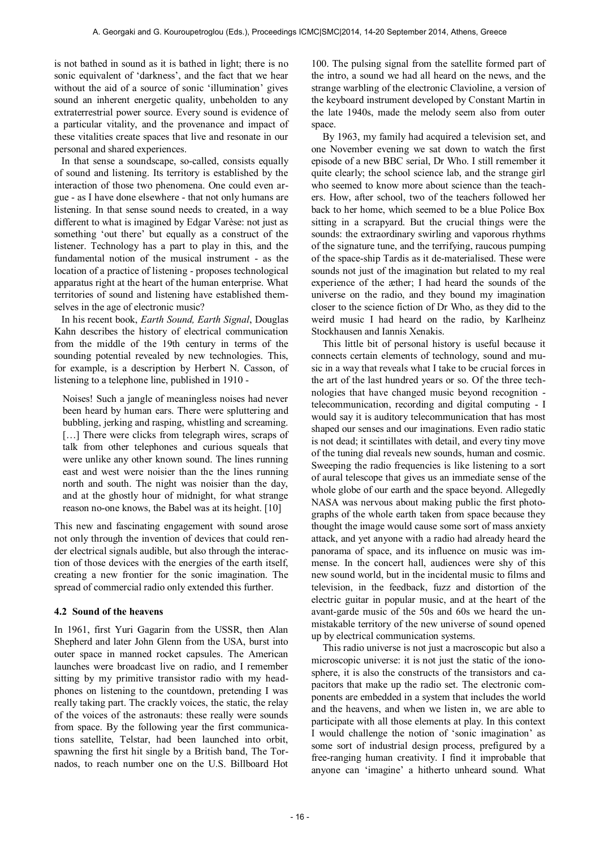is not bathed in sound as it is bathed in light; there is no sonic equivalent of 'darkness', and the fact that we hear without the aid of a source of sonic 'illumination' gives sound an inherent energetic quality, unbeholden to any extraterrestrial power source. Every sound is evidence of a particular vitality, and the provenance and impact of these vitalities create spaces that live and resonate in our personal and shared experiences.

In that sense a soundscape, so-called, consists equally of sound and listening. Its territory is established by the interaction of those two phenomena. One could even argue - as I have done elsewhere - that not only humans are listening. In that sense sound needs to created, in a way different to what is imagined by Edgar Varèse: not just as something 'out there' but equally as a construct of the listener. Technology has a part to play in this, and the fundamental notion of the musical instrument - as the location of a practice of listening - proposes technological apparatus right at the heart of the human enterprise. What territories of sound and listening have established themselves in the age of electronic music?

In his recent book, *Earth Sound, Earth Signal*, Douglas Kahn describes the history of electrical communication from the middle of the 19th century in terms of the sounding potential revealed by new technologies. This, for example, is a description by Herbert N. Casson, of listening to a telephone line, published in 1910 -

Noises! Such a jangle of meaningless noises had never been heard by human ears. There were spluttering and bubbling, jerking and rasping, whistling and screaming. [...] There were clicks from telegraph wires, scraps of talk from other telephones and curious squeals that were unlike any other known sound. The lines running east and west were noisier than the the lines running north and south. The night was noisier than the day, and at the ghostly hour of midnight, for what strange reason no-one knows, the Babel was at its height. [10]

This new and fascinating engagement with sound arose not only through the invention of devices that could render electrical signals audible, but also through the interaction of those devices with the energies of the earth itself, creating a new frontier for the sonic imagination. The spread of commercial radio only extended this further.

#### **4.2 Sound of the heavens**

In 1961, first Yuri Gagarin from the USSR, then Alan Shepherd and later John Glenn from the USA, burst into outer space in manned rocket capsules. The American launches were broadcast live on radio, and I remember sitting by my primitive transistor radio with my headphones on listening to the countdown, pretending I was really taking part. The crackly voices, the static, the relay of the voices of the astronauts: these really were sounds from space. By the following year the first communications satellite, Telstar, had been launched into orbit, spawning the first hit single by a British band, The Tornados, to reach number one on the U.S. Billboard Hot

100. The pulsing signal from the satellite formed part of the intro, a sound we had all heard on the news, and the strange warbling of the electronic Clavioline, a version of the keyboard instrument developed by Constant Martin in the late 1940s, made the melody seem also from outer space.

By 1963, my family had acquired a television set, and one November evening we sat down to watch the first episode of a new BBC serial, Dr Who. I still remember it quite clearly; the school science lab, and the strange girl who seemed to know more about science than the teachers. How, after school, two of the teachers followed her back to her home, which seemed to be a blue Police Box sitting in a scrapyard. But the crucial things were the sounds: the extraordinary swirling and vaporous rhythms of the signature tune, and the terrifying, raucous pumping of the space-ship Tardis as it de-materialised. These were sounds not just of the imagination but related to my real experience of the æther; I had heard the sounds of the universe on the radio, and they bound my imagination closer to the science fiction of Dr Who, as they did to the weird music I had heard on the radio, by Karlheinz Stockhausen and Iannis Xenakis.

This little bit of personal history is useful because it connects certain elements of technology, sound and music in a way that reveals what I take to be crucial forces in the art of the last hundred years or so. Of the three technologies that have changed music beyond recognition telecommunication, recording and digital computing - I would say it is auditory telecommunication that has most shaped our senses and our imaginations. Even radio static is not dead; it scintillates with detail, and every tiny move of the tuning dial reveals new sounds, human and cosmic. Sweeping the radio frequencies is like listening to a sort of aural telescope that gives us an immediate sense of the whole globe of our earth and the space beyond. Allegedly NASA was nervous about making public the first photographs of the whole earth taken from space because they thought the image would cause some sort of mass anxiety attack, and yet anyone with a radio had already heard the panorama of space, and its influence on music was immense. In the concert hall, audiences were shy of this new sound world, but in the incidental music to films and television, in the feedback, fuzz and distortion of the electric guitar in popular music, and at the heart of the avant-garde music of the 50s and 60s we heard the unmistakable territory of the new universe of sound opened up by electrical communication systems.

This radio universe is not just a macroscopic but also a microscopic universe: it is not just the static of the ionosphere, it is also the constructs of the transistors and capacitors that make up the radio set. The electronic components are embedded in a system that includes the world and the heavens, and when we listen in, we are able to participate with all those elements at play. In this context I would challenge the notion of 'sonic imagination' as some sort of industrial design process, prefigured by a free-ranging human creativity. I find it improbable that anyone can 'imagine' a hitherto unheard sound. What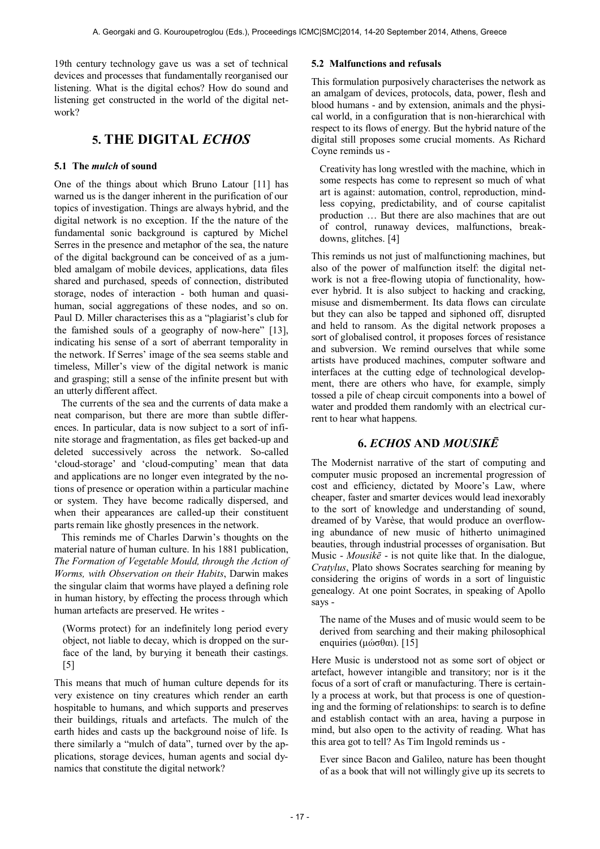19th century technology gave us was a set of technical devices and processes that fundamentally reorganised our listening. What is the digital echos? How do sound and listening get constructed in the world of the digital network?

# **5. THE DIGITAL** *ECHOS*

#### **5.1 The** *mulch* **of sound**

One of the things about which Bruno Latour [11] has warned us is the danger inherent in the purification of our topics of investigation. Things are always hybrid, and the digital network is no exception. If the the nature of the fundamental sonic background is captured by Michel Serres in the presence and metaphor of the sea, the nature of the digital background can be conceived of as a jumbled amalgam of mobile devices, applications, data files shared and purchased, speeds of connection, distributed storage, nodes of interaction - both human and quasihuman, social aggregations of these nodes, and so on. Paul D. Miller characterises this as a "plagiarist's club for the famished souls of a geography of now-here" [13], indicating his sense of a sort of aberrant temporality in the network. If Serres' image of the sea seems stable and timeless, Miller's view of the digital network is manic and grasping; still a sense of the infinite present but with an utterly different affect.

The currents of the sea and the currents of data make a neat comparison, but there are more than subtle differences. In particular, data is now subject to a sort of infinite storage and fragmentation, as files get backed-up and deleted successively across the network. So-called 'cloud-storage' and 'cloud-computing' mean that data and applications are no longer even integrated by the notions of presence or operation within a particular machine or system. They have become radically dispersed, and when their appearances are called-up their constituent parts remain like ghostly presences in the network.

This reminds me of Charles Darwin's thoughts on the material nature of human culture. In his 1881 publication, *The Formation of Vegetable Mould, through the Action of Worms, with Observation on their Habits*, Darwin makes the singular claim that worms have played a defining role in human history, by effecting the process through which human artefacts are preserved. He writes -

(Worms protect) for an indefinitely long period every object, not liable to decay, which is dropped on the surface of the land, by burying it beneath their castings. [5]

This means that much of human culture depends for its very existence on tiny creatures which render an earth hospitable to humans, and which supports and preserves their buildings, rituals and artefacts. The mulch of the earth hides and casts up the background noise of life. Is there similarly a "mulch of data", turned over by the applications, storage devices, human agents and social dynamics that constitute the digital network?

#### **5.2 Malfunctions and refusals**

This formulation purposively characterises the network as an amalgam of devices, protocols, data, power, flesh and blood humans - and by extension, animals and the physical world, in a configuration that is non-hierarchical with respect to its flows of energy. But the hybrid nature of the digital still proposes some crucial moments. As Richard Coyne reminds us -

Creativity has long wrestled with the machine, which in some respects has come to represent so much of what art is against: automation, control, reproduction, mindless copying, predictability, and of course capitalist production … But there are also machines that are out of control, runaway devices, malfunctions, breakdowns, glitches. [4]

This reminds us not just of malfunctioning machines, but also of the power of malfunction itself: the digital network is not a free-flowing utopia of functionality, however hybrid. It is also subject to hacking and cracking, misuse and dismemberment. Its data flows can circulate but they can also be tapped and siphoned off, disrupted and held to ransom. As the digital network proposes a sort of globalised control, it proposes forces of resistance and subversion. We remind ourselves that while some artists have produced machines, computer software and interfaces at the cutting edge of technological development, there are others who have, for example, simply tossed a pile of cheap circuit components into a bowel of water and prodded them randomly with an electrical current to hear what happens.

# **6.** *ECHOS* **AND** *MOUSIKĒ*

The Modernist narrative of the start of computing and computer music proposed an incremental progression of cost and efficiency, dictated by Moore's Law, where cheaper, faster and smarter devices would lead inexorably to the sort of knowledge and understanding of sound, dreamed of by Varèse, that would produce an overflowing abundance of new music of hitherto unimagined beauties, through industrial processes of organisation. But Music - *Mousikē* - is not quite like that. In the dialogue, *Cratylus*, Plato shows Socrates searching for meaning by considering the origins of words in a sort of linguistic genealogy. At one point Socrates, in speaking of Apollo says -

The name of the Muses and of music would seem to be derived from searching and their making philosophical enquiries (μώσθαι). [15]

Here Music is understood not as some sort of object or artefact, however intangible and transitory; nor is it the focus of a sort of craft or manufacturing. There is certainly a process at work, but that process is one of questioning and the forming of relationships: to search is to define and establish contact with an area, having a purpose in mind, but also open to the activity of reading. What has this area got to tell? As Tim Ingold reminds us -

Ever since Bacon and Galileo, nature has been thought of as a book that will not willingly give up its secrets to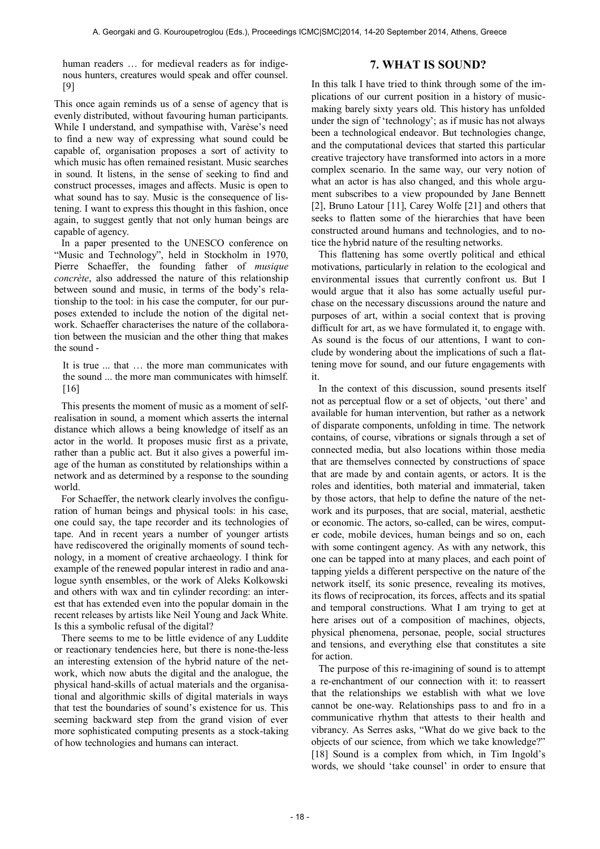human readers ... for medieval readers as for indigenous hunters, creatures would speak and offer counsel. [9]

# **7. WHAT IS SOUND?**

This once again reminds us of a sense of agency that is evenly distributed, without favouring human participants. While I understand, and sympathise with, Varèse's need to find a new way of expressing what sound could be capable of, organisation proposes a sort of activity to which music has often remained resistant. Music searches in sound. It listens, in the sense of seeking to find and construct processes, images and affects. Music is open to what sound has to say. Music is the consequence of listening. I want to express this thought in this fashion, once again, to suggest gently that not only human beings are capable of agency.

In a paper presented to the UNESCO conference on "Music and Technology", held in Stockholm in 1970, Pierre Schaeffer, the founding father of *musique concrète*, also addressed the nature of this relationship between sound and music, in terms of the body's relationship to the tool: in his case the computer, for our purposes extended to include the notion of the digital network. Schaeffer characterises the nature of the collaboration between the musician and the other thing that makes the sound -

It is true ... that … the more man communicates with the sound ... the more man communicates with himself. [16]

This presents the moment of music as a moment of selfrealisation in sound, a moment which asserts the internal distance which allows a being knowledge of itself as an actor in the world. It proposes music first as a private, rather than a public act. But it also gives a powerful image of the human as constituted by relationships within a network and as determined by a response to the sounding world.

For Schaeffer, the network clearly involves the configuration of human beings and physical tools: in his case, one could say, the tape recorder and its technologies of tape. And in recent years a number of younger artists have rediscovered the originally moments of sound technology, in a moment of creative archaeology. I think for example of the renewed popular interest in radio and analogue synth ensembles, or the work of Aleks Kolkowski and others with wax and tin cylinder recording: an interest that has extended even into the popular domain in the recent releases by artists like Neil Young and Jack White. Is this a symbolic refusal of the digital?

There seems to me to be little evidence of any Luddite or reactionary tendencies here, but there is none-the-less an interesting extension of the hybrid nature of the network, which now abuts the digital and the analogue, the physical hand-skills of actual materials and the organisational and algorithmic skills of digital materials in ways that test the boundaries of sound's existence for us. This seeming backward step from the grand vision of ever more sophisticated computing presents as a stock-taking of how technologies and humans can interact.

In this talk I have tried to think through some of the implications of our current position in a history of musicmaking barely sixty years old. This history has unfolded under the sign of 'technology'; as if music has not always been a technological endeavor. But technologies change, and the computational devices that started this particular creative trajectory have transformed into actors in a more complex scenario. In the same way, our very notion of what an actor is has also changed, and this whole argument subscribes to a view propounded by Jane Bennett [2], Bruno Latour [11], Carey Wolfe [21] and others that seeks to flatten some of the hierarchies that have been constructed around humans and technologies, and to notice the hybrid nature of the resulting networks.

This flattening has some overtly political and ethical motivations, particularly in relation to the ecological and environmental issues that currently confront us. But I would argue that it also has some actually useful purchase on the necessary discussions around the nature and purposes of art, within a social context that is proving difficult for art, as we have formulated it, to engage with. As sound is the focus of our attentions, I want to conclude by wondering about the implications of such a flattening move for sound, and our future engagements with it.

In the context of this discussion, sound presents itself not as perceptual flow or a set of objects, 'out there' and available for human intervention, but rather as a network of disparate components, unfolding in time. The network contains, of course, vibrations or signals through a set of connected media, but also locations within those media that are themselves connected by constructions of space that are made by and contain agents, or actors. It is the roles and identities, both material and immaterial, taken by those actors, that help to define the nature of the network and its purposes, that are social, material, aesthetic or economic. The actors, so-called, can be wires, computer code, mobile devices, human beings and so on, each with some contingent agency. As with any network, this one can be tapped into at many places, and each point of tapping yields a different perspective on the nature of the network itself, its sonic presence, revealing its motives, its flows of reciprocation, its forces, affects and its spatial and temporal constructions. What I am trying to get at here arises out of a composition of machines, objects, physical phenomena, personae, people, social structures and tensions, and everything else that constitutes a site for action.

The purpose of this re-imagining of sound is to attempt a re-enchantment of our connection with it: to reassert that the relationships we establish with what we love cannot be one-way. Relationships pass to and fro in a communicative rhythm that attests to their health and vibrancy. As Serres asks, "What do we give back to the objects of our science, from which we take knowledge?" [18] Sound is a complex from which, in Tim Ingold's words, we should 'take counsel' in order to ensure that